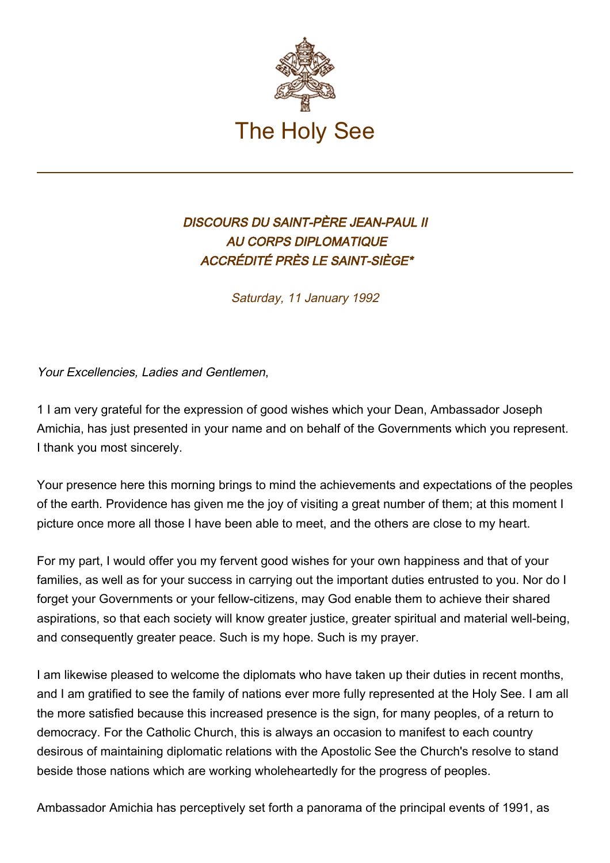

## DISCOURS DU SAINT-PÈRE JEAN-PAUL II AU CORPS DIPLOMATIQUE ACCRÉDITÉ PRÈS LE SAINT-SIÈGE\*

Saturday, 11 January 1992

Your Excellencies, Ladies and Gentlemen,

1 I am very grateful for the expression of good wishes which your Dean, Ambassador Joseph Amichia, has just presented in your name and on behalf of the Governments which you represent. I thank you most sincerely.

Your presence here this morning brings to mind the achievements and expectations of the peoples of the earth. Providence has given me the joy of visiting a great number of them; at this moment I picture once more all those I have been able to meet, and the others are close to my heart.

For my part, I would offer you my fervent good wishes for your own happiness and that of your families, as well as for your success in carrying out the important duties entrusted to you. Nor do I forget your Governments or your fellow-citizens, may God enable them to achieve their shared aspirations, so that each society will know greater justice, greater spiritual and material well-being, and consequently greater peace. Such is my hope. Such is my prayer.

I am likewise pleased to welcome the diplomats who have taken up their duties in recent months, and I am gratified to see the family of nations ever more fully represented at the Holy See. I am all the more satisfied because this increased presence is the sign, for many peoples, of a return to democracy. For the Catholic Church, this is always an occasion to manifest to each country desirous of maintaining diplomatic relations with the Apostolic See the Church's resolve to stand beside those nations which are working wholeheartedly for the progress of peoples.

Ambassador Amichia has perceptively set forth a panorama of the principal events of 1991, as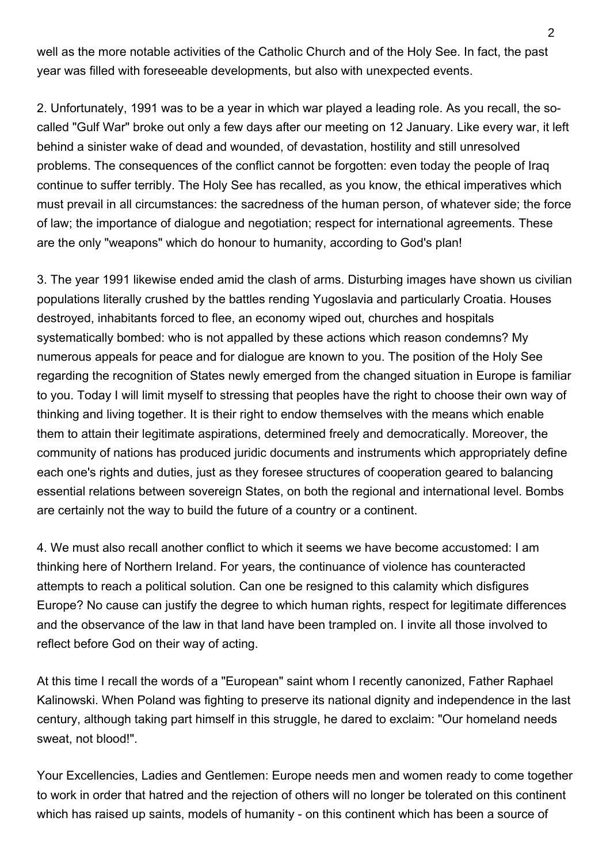well as the more notable activities of the Catholic Church and of the Holy See. In fact, the past year was filled with foreseeable developments, but also with unexpected events.

2. Unfortunately, 1991 was to be a year in which war played a leading role. As you recall, the socalled "Gulf War" broke out only a few days after our meeting on 12 January. Like every war, it left behind a sinister wake of dead and wounded, of devastation, hostility and still unresolved problems. The consequences of the conflict cannot be forgotten: even today the people of Iraq continue to suffer terribly. The Holy See has recalled, as you know, the ethical imperatives which must prevail in all circumstances: the sacredness of the human person, of whatever side; the force of law; the importance of dialogue and negotiation; respect for international agreements. These are the only "weapons" which do honour to humanity, according to God's plan!

3. The year 1991 likewise ended amid the clash of arms. Disturbing images have shown us civilian populations literally crushed by the battles rending Yugoslavia and particularly Croatia. Houses destroyed, inhabitants forced to flee, an economy wiped out, churches and hospitals systematically bombed: who is not appalled by these actions which reason condemns? My numerous appeals for peace and for dialogue are known to you. The position of the Holy See regarding the recognition of States newly emerged from the changed situation in Europe is familiar to you. Today I will limit myself to stressing that peoples have the right to choose their own way of thinking and living together. It is their right to endow themselves with the means which enable them to attain their legitimate aspirations, determined freely and democratically. Moreover, the community of nations has produced juridic documents and instruments which appropriately define each one's rights and duties, just as they foresee structures of cooperation geared to balancing essential relations between sovereign States, on both the regional and international level. Bombs are certainly not the way to build the future of a country or a continent.

4. We must also recall another conflict to which it seems we have become accustomed: I am thinking here of Northern Ireland. For years, the continuance of violence has counteracted attempts to reach a political solution. Can one be resigned to this calamity which disfigures Europe? No cause can justify the degree to which human rights, respect for legitimate differences and the observance of the law in that land have been trampled on. I invite all those involved to reflect before God on their way of acting.

At this time I recall the words of a "European" saint whom I recently canonized, Father Raphael Kalinowski. When Poland was fighting to preserve its national dignity and independence in the last century, although taking part himself in this struggle, he dared to exclaim: "Our homeland needs sweat, not blood!".

Your Excellencies, Ladies and Gentlemen: Europe needs men and women ready to come together to work in order that hatred and the rejection of others will no longer be tolerated on this continent which has raised up saints, models of humanity - on this continent which has been a source of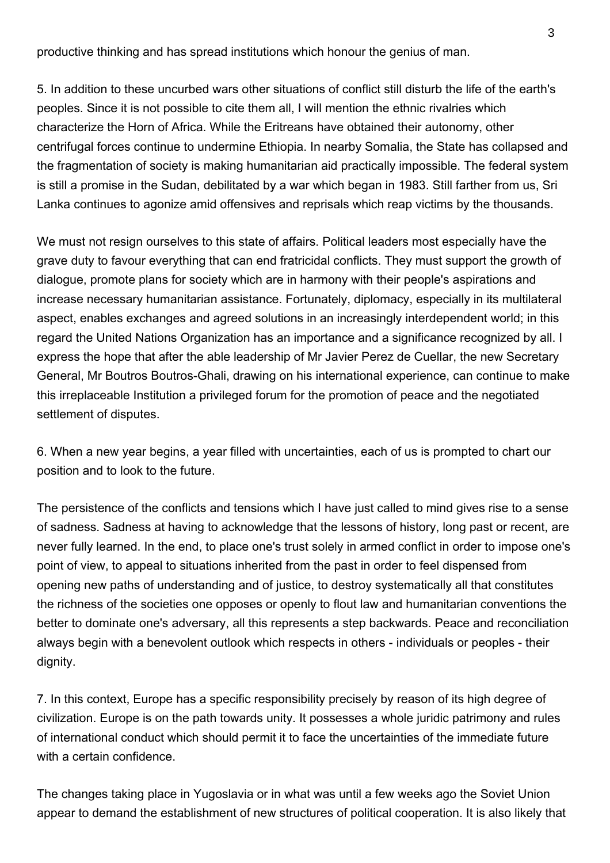productive thinking and has spread institutions which honour the genius of man.

5. In addition to these uncurbed wars other situations of conflict still disturb the life of the earth's peoples. Since it is not possible to cite them all, I will mention the ethnic rivalries which characterize the Horn of Africa. While the Eritreans have obtained their autonomy, other centrifugal forces continue to undermine Ethiopia. In nearby Somalia, the State has collapsed and the fragmentation of society is making humanitarian aid practically impossible. The federal system is still a promise in the Sudan, debilitated by a war which began in 1983. Still farther from us, Sri Lanka continues to agonize amid offensives and reprisals which reap victims by the thousands.

We must not resign ourselves to this state of affairs. Political leaders most especially have the grave duty to favour everything that can end fratricidal conflicts. They must support the growth of dialogue, promote plans for society which are in harmony with their people's aspirations and increase necessary humanitarian assistance. Fortunately, diplomacy, especially in its multilateral aspect, enables exchanges and agreed solutions in an increasingly interdependent world; in this regard the United Nations Organization has an importance and a significance recognized by all. I express the hope that after the able leadership of Mr Javier Perez de Cuellar, the new Secretary General, Mr Boutros Boutros-Ghali, drawing on his international experience, can continue to make this irreplaceable Institution a privileged forum for the promotion of peace and the negotiated settlement of disputes.

6. When a new year begins, a year filled with uncertainties, each of us is prompted to chart our position and to look to the future.

The persistence of the conflicts and tensions which I have just called to mind gives rise to a sense of sadness. Sadness at having to acknowledge that the lessons of history, long past or recent, are never fully learned. In the end, to place one's trust solely in armed conflict in order to impose one's point of view, to appeal to situations inherited from the past in order to feel dispensed from opening new paths of understanding and of justice, to destroy systematically all that constitutes the richness of the societies one opposes or openly to flout law and humanitarian conventions the better to dominate one's adversary, all this represents a step backwards. Peace and reconciliation always begin with a benevolent outlook which respects in others - individuals or peoples - their dignity.

7. In this context, Europe has a specific responsibility precisely by reason of its high degree of civilization. Europe is on the path towards unity. It possesses a whole juridic patrimony and rules of international conduct which should permit it to face the uncertainties of the immediate future with a certain confidence.

The changes taking place in Yugoslavia or in what was until a few weeks ago the Soviet Union appear to demand the establishment of new structures of political cooperation. It is also likely that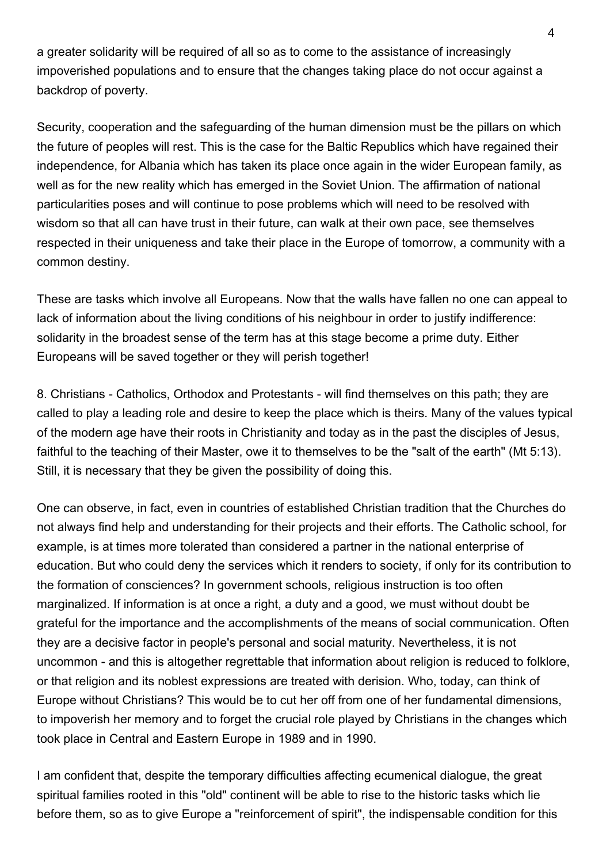a greater solidarity will be required of all so as to come to the assistance of increasingly impoverished populations and to ensure that the changes taking place do not occur against a backdrop of poverty.

Security, cooperation and the safeguarding of the human dimension must be the pillars on which the future of peoples will rest. This is the case for the Baltic Republics which have regained their independence, for Albania which has taken its place once again in the wider European family, as well as for the new reality which has emerged in the Soviet Union. The affirmation of national particularities poses and will continue to pose problems which will need to be resolved with wisdom so that all can have trust in their future, can walk at their own pace, see themselves respected in their uniqueness and take their place in the Europe of tomorrow, a community with a common destiny.

These are tasks which involve all Europeans. Now that the walls have fallen no one can appeal to lack of information about the living conditions of his neighbour in order to justify indifference: solidarity in the broadest sense of the term has at this stage become a prime duty. Either Europeans will be saved together or they will perish together!

8. Christians - Catholics, Orthodox and Protestants - will find themselves on this path; they are called to play a leading role and desire to keep the place which is theirs. Many of the values typical of the modern age have their roots in Christianity and today as in the past the disciples of Jesus, faithful to the teaching of their Master, owe it to themselves to be the "salt of the earth" (Mt 5:13). Still, it is necessary that they be given the possibility of doing this.

One can observe, in fact, even in countries of established Christian tradition that the Churches do not always find help and understanding for their projects and their efforts. The Catholic school, for example, is at times more tolerated than considered a partner in the national enterprise of education. But who could deny the services which it renders to society, if only for its contribution to the formation of consciences? In government schools, religious instruction is too often marginalized. If information is at once a right, a duty and a good, we must without doubt be grateful for the importance and the accomplishments of the means of social communication. Often they are a decisive factor in people's personal and social maturity. Nevertheless, it is not uncommon - and this is altogether regrettable that information about religion is reduced to folklore, or that religion and its noblest expressions are treated with derision. Who, today, can think of Europe without Christians? This would be to cut her off from one of her fundamental dimensions, to impoverish her memory and to forget the crucial role played by Christians in the changes which took place in Central and Eastern Europe in 1989 and in 1990.

I am confident that, despite the temporary difficulties affecting ecumenical dialogue, the great spiritual families rooted in this "old" continent will be able to rise to the historic tasks which lie before them, so as to give Europe a "reinforcement of spirit", the indispensable condition for this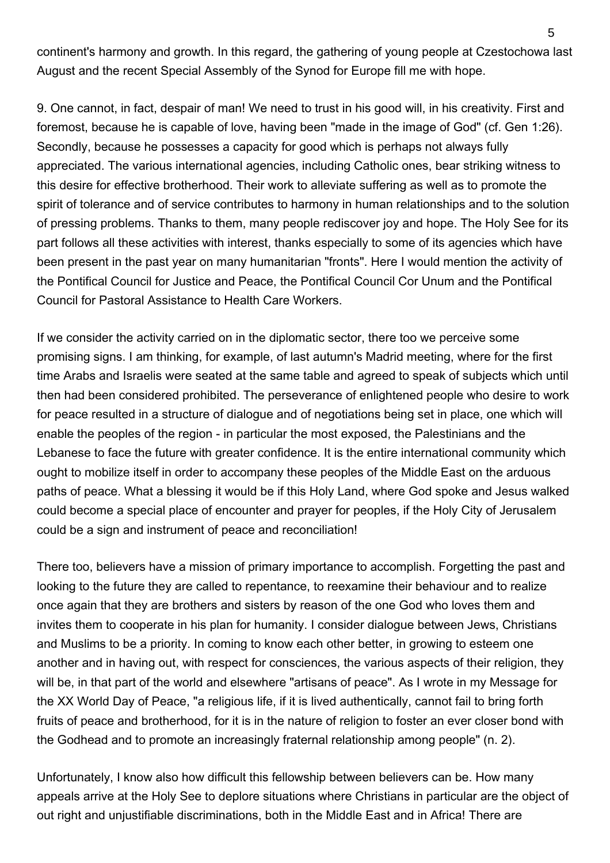continent's harmony and growth. In this regard, the gathering of young people at Czestochowa last August and the recent Special Assembly of the Synod for Europe fill me with hope.

9. One cannot, in fact, despair of man! We need to trust in his good will, in his creativity. First and foremost, because he is capable of love, having been "made in the image of God" (cf. Gen 1:26). Secondly, because he possesses a capacity for good which is perhaps not always fully appreciated. The various international agencies, including Catholic ones, bear striking witness to this desire for effective brotherhood. Their work to alleviate suffering as well as to promote the spirit of tolerance and of service contributes to harmony in human relationships and to the solution of pressing problems. Thanks to them, many people rediscover joy and hope. The Holy See for its part follows all these activities with interest, thanks especially to some of its agencies which have been present in the past year on many humanitarian "fronts". Here I would mention the activity of the Pontifical Council for Justice and Peace, the Pontifical Council Cor Unum and the Pontifical Council for Pastoral Assistance to Health Care Workers.

If we consider the activity carried on in the diplomatic sector, there too we perceive some promising signs. I am thinking, for example, of last autumn's Madrid meeting, where for the first time Arabs and Israelis were seated at the same table and agreed to speak of subjects which until then had been considered prohibited. The perseverance of enlightened people who desire to work for peace resulted in a structure of dialogue and of negotiations being set in place, one which will enable the peoples of the region - in particular the most exposed, the Palestinians and the Lebanese to face the future with greater confidence. It is the entire international community which ought to mobilize itself in order to accompany these peoples of the Middle East on the arduous paths of peace. What a blessing it would be if this Holy Land, where God spoke and Jesus walked could become a special place of encounter and prayer for peoples, if the Holy City of Jerusalem could be a sign and instrument of peace and reconciliation!

There too, believers have a mission of primary importance to accomplish. Forgetting the past and looking to the future they are called to repentance, to reexamine their behaviour and to realize once again that they are brothers and sisters by reason of the one God who loves them and invites them to cooperate in his plan for humanity. I consider dialogue between Jews, Christians and Muslims to be a priority. In coming to know each other better, in growing to esteem one another and in having out, with respect for consciences, the various aspects of their religion, they will be, in that part of the world and elsewhere "artisans of peace". As I wrote in my Message for the XX World Day of Peace, "a religious life, if it is lived authentically, cannot fail to bring forth fruits of peace and brotherhood, for it is in the nature of religion to foster an ever closer bond with the Godhead and to promote an increasingly fraternal relationship among people" (n. 2).

Unfortunately, I know also how difficult this fellowship between believers can be. How many appeals arrive at the Holy See to deplore situations where Christians in particular are the object of out right and unjustifiable discriminations, both in the Middle East and in Africa! There are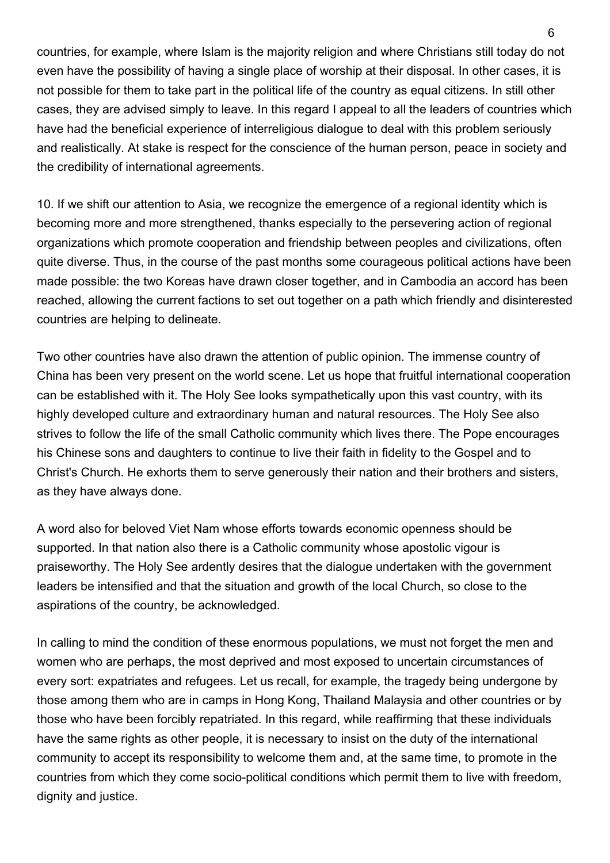countries, for example, where Islam is the majority religion and where Christians still today do not even have the possibility of having a single place of worship at their disposal. In other cases, it is not possible for them to take part in the political life of the country as equal citizens. In still other cases, they are advised simply to leave. In this regard I appeal to all the leaders of countries which have had the beneficial experience of interreligious dialogue to deal with this problem seriously and realistically. At stake is respect for the conscience of the human person, peace in society and the credibility of international agreements.

10. If we shift our attention to Asia, we recognize the emergence of a regional identity which is becoming more and more strengthened, thanks especially to the persevering action of regional organizations which promote cooperation and friendship between peoples and civilizations, often quite diverse. Thus, in the course of the past months some courageous political actions have been made possible: the two Koreas have drawn closer together, and in Cambodia an accord has been reached, allowing the current factions to set out together on a path which friendly and disinterested countries are helping to delineate.

Two other countries have also drawn the attention of public opinion. The immense country of China has been very present on the world scene. Let us hope that fruitful international cooperation can be established with it. The Holy See looks sympathetically upon this vast country, with its highly developed culture and extraordinary human and natural resources. The Holy See also strives to follow the life of the small Catholic community which lives there. The Pope encourages his Chinese sons and daughters to continue to live their faith in fidelity to the Gospel and to Christ's Church. He exhorts them to serve generously their nation and their brothers and sisters, as they have always done.

A word also for beloved Viet Nam whose efforts towards economic openness should be supported. In that nation also there is a Catholic community whose apostolic vigour is praiseworthy. The Holy See ardently desires that the dialogue undertaken with the government leaders be intensified and that the situation and growth of the local Church, so close to the aspirations of the country, be acknowledged.

In calling to mind the condition of these enormous populations, we must not forget the men and women who are perhaps, the most deprived and most exposed to uncertain circumstances of every sort: expatriates and refugees. Let us recall, for example, the tragedy being undergone by those among them who are in camps in Hong Kong, Thailand Malaysia and other countries or by those who have been forcibly repatriated. In this regard, while reaffirming that these individuals have the same rights as other people, it is necessary to insist on the duty of the international community to accept its responsibility to welcome them and, at the same time, to promote in the countries from which they come socio-political conditions which permit them to live with freedom, dignity and justice.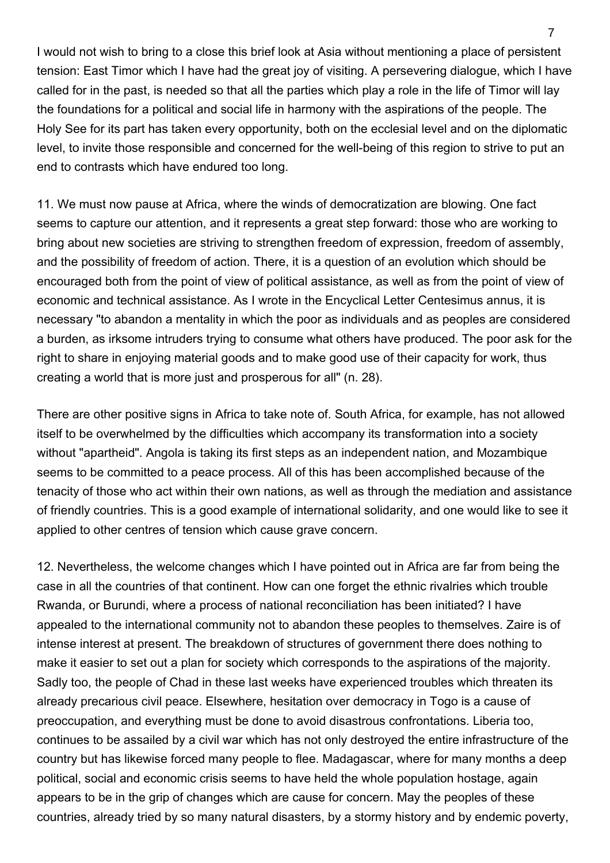I would not wish to bring to a close this brief look at Asia without mentioning a place of persistent tension: East Timor which I have had the great joy of visiting. A persevering dialogue, which I have called for in the past, is needed so that all the parties which play a role in the life of Timor will lay the foundations for a political and social life in harmony with the aspirations of the people. The Holy See for its part has taken every opportunity, both on the ecclesial level and on the diplomatic level, to invite those responsible and concerned for the well-being of this region to strive to put an end to contrasts which have endured too long.

11. We must now pause at Africa, where the winds of democratization are blowing. One fact seems to capture our attention, and it represents a great step forward: those who are working to bring about new societies are striving to strengthen freedom of expression, freedom of assembly, and the possibility of freedom of action. There, it is a question of an evolution which should be encouraged both from the point of view of political assistance, as well as from the point of view of economic and technical assistance. As I wrote in the Encyclical Letter Centesimus annus, it is necessary "to abandon a mentality in which the poor as individuals and as peoples are considered a burden, as irksome intruders trying to consume what others have produced. The poor ask for the right to share in enjoying material goods and to make good use of their capacity for work, thus creating a world that is more just and prosperous for all" (n. 28).

There are other positive signs in Africa to take note of. South Africa, for example, has not allowed itself to be overwhelmed by the difficulties which accompany its transformation into a society without "apartheid". Angola is taking its first steps as an independent nation, and Mozambique seems to be committed to a peace process. All of this has been accomplished because of the tenacity of those who act within their own nations, as well as through the mediation and assistance of friendly countries. This is a good example of international solidarity, and one would like to see it applied to other centres of tension which cause grave concern.

12. Nevertheless, the welcome changes which I have pointed out in Africa are far from being the case in all the countries of that continent. How can one forget the ethnic rivalries which trouble Rwanda, or Burundi, where a process of national reconciliation has been initiated? I have appealed to the international community not to abandon these peoples to themselves. Zaire is of intense interest at present. The breakdown of structures of government there does nothing to make it easier to set out a plan for society which corresponds to the aspirations of the majority. Sadly too, the people of Chad in these last weeks have experienced troubles which threaten its already precarious civil peace. Elsewhere, hesitation over democracy in Togo is a cause of preoccupation, and everything must be done to avoid disastrous confrontations. Liberia too, continues to be assailed by a civil war which has not only destroyed the entire infrastructure of the country but has likewise forced many people to flee. Madagascar, where for many months a deep political, social and economic crisis seems to have held the whole population hostage, again appears to be in the grip of changes which are cause for concern. May the peoples of these countries, already tried by so many natural disasters, by a stormy history and by endemic poverty,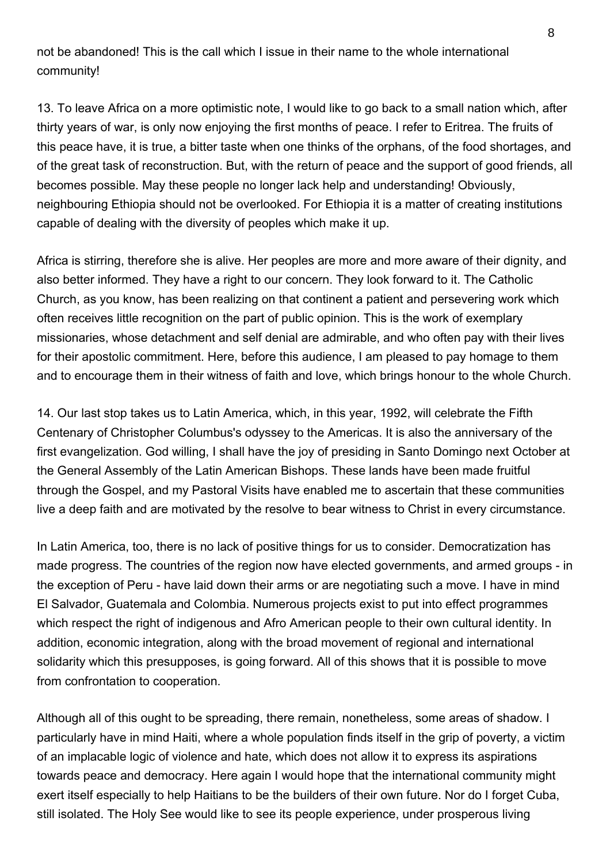not be abandoned! This is the call which I issue in their name to the whole international community!

13. To leave Africa on a more optimistic note, I would like to go back to a small nation which, after thirty years of war, is only now enjoying the first months of peace. I refer to Eritrea. The fruits of this peace have, it is true, a bitter taste when one thinks of the orphans, of the food shortages, and of the great task of reconstruction. But, with the return of peace and the support of good friends, all becomes possible. May these people no longer lack help and understanding! Obviously, neighbouring Ethiopia should not be overlooked. For Ethiopia it is a matter of creating institutions capable of dealing with the diversity of peoples which make it up.

Africa is stirring, therefore she is alive. Her peoples are more and more aware of their dignity, and also better informed. They have a right to our concern. They look forward to it. The Catholic Church, as you know, has been realizing on that continent a patient and persevering work which often receives little recognition on the part of public opinion. This is the work of exemplary missionaries, whose detachment and self denial are admirable, and who often pay with their lives for their apostolic commitment. Here, before this audience, I am pleased to pay homage to them and to encourage them in their witness of faith and love, which brings honour to the whole Church.

14. Our last stop takes us to Latin America, which, in this year, 1992, will celebrate the Fifth Centenary of Christopher Columbus's odyssey to the Americas. It is also the anniversary of the first evangelization. God willing, I shall have the joy of presiding in Santo Domingo next October at the General Assembly of the Latin American Bishops. These lands have been made fruitful through the Gospel, and my Pastoral Visits have enabled me to ascertain that these communities live a deep faith and are motivated by the resolve to bear witness to Christ in every circumstance.

In Latin America, too, there is no lack of positive things for us to consider. Democratization has made progress. The countries of the region now have elected governments, and armed groups - in the exception of Peru - have laid down their arms or are negotiating such a move. I have in mind El Salvador, Guatemala and Colombia. Numerous projects exist to put into effect programmes which respect the right of indigenous and Afro American people to their own cultural identity. In addition, economic integration, along with the broad movement of regional and international solidarity which this presupposes, is going forward. All of this shows that it is possible to move from confrontation to cooperation.

Although all of this ought to be spreading, there remain, nonetheless, some areas of shadow. I particularly have in mind Haiti, where a whole population finds itself in the grip of poverty, a victim of an implacable logic of violence and hate, which does not allow it to express its aspirations towards peace and democracy. Here again I would hope that the international community might exert itself especially to help Haitians to be the builders of their own future. Nor do I forget Cuba, still isolated. The Holy See would like to see its people experience, under prosperous living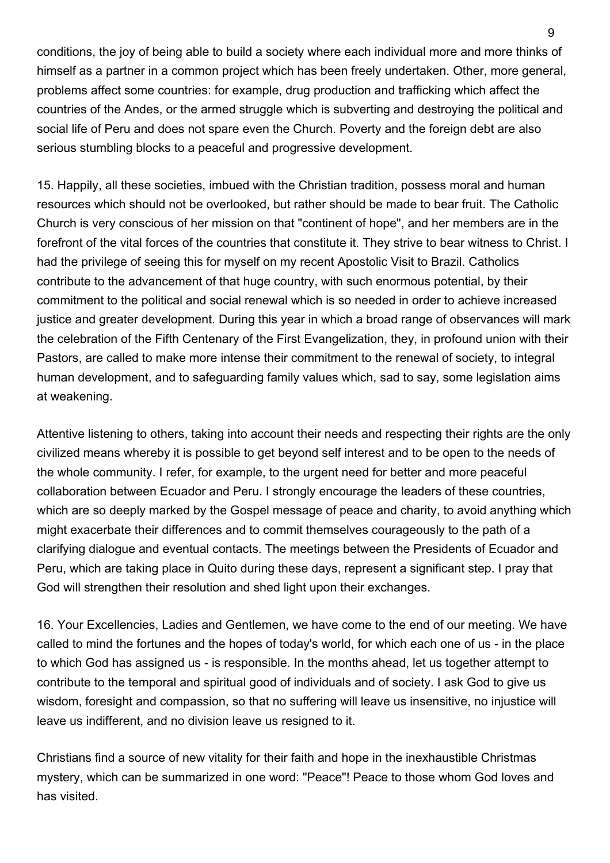conditions, the joy of being able to build a society where each individual more and more thinks of himself as a partner in a common project which has been freely undertaken. Other, more general, problems affect some countries: for example, drug production and trafficking which affect the countries of the Andes, or the armed struggle which is subverting and destroying the political and social life of Peru and does not spare even the Church. Poverty and the foreign debt are also serious stumbling blocks to a peaceful and progressive development.

15. Happily, all these societies, imbued with the Christian tradition, possess moral and human resources which should not be overlooked, but rather should be made to bear fruit. The Catholic Church is very conscious of her mission on that "continent of hope", and her members are in the forefront of the vital forces of the countries that constitute it. They strive to bear witness to Christ. I had the privilege of seeing this for myself on my recent Apostolic Visit to Brazil. Catholics contribute to the advancement of that huge country, with such enormous potential, by their commitment to the political and social renewal which is so needed in order to achieve increased justice and greater development. During this year in which a broad range of observances will mark the celebration of the Fifth Centenary of the First Evangelization, they, in profound union with their Pastors, are called to make more intense their commitment to the renewal of society, to integral human development, and to safeguarding family values which, sad to say, some legislation aims at weakening.

Attentive listening to others, taking into account their needs and respecting their rights are the only civilized means whereby it is possible to get beyond self interest and to be open to the needs of the whole community. I refer, for example, to the urgent need for better and more peaceful collaboration between Ecuador and Peru. I strongly encourage the leaders of these countries, which are so deeply marked by the Gospel message of peace and charity, to avoid anything which might exacerbate their differences and to commit themselves courageously to the path of a clarifying dialogue and eventual contacts. The meetings between the Presidents of Ecuador and Peru, which are taking place in Quito during these days, represent a significant step. I pray that God will strengthen their resolution and shed light upon their exchanges.

16. Your Excellencies, Ladies and Gentlemen, we have come to the end of our meeting. We have called to mind the fortunes and the hopes of today's world, for which each one of us - in the place to which God has assigned us - is responsible. In the months ahead, let us together attempt to contribute to the temporal and spiritual good of individuals and of society. I ask God to give us wisdom, foresight and compassion, so that no suffering will leave us insensitive, no injustice will leave us indifferent, and no division leave us resigned to it.

Christians find a source of new vitality for their faith and hope in the inexhaustible Christmas mystery, which can be summarized in one word: "Peace"! Peace to those whom God loves and has visited.